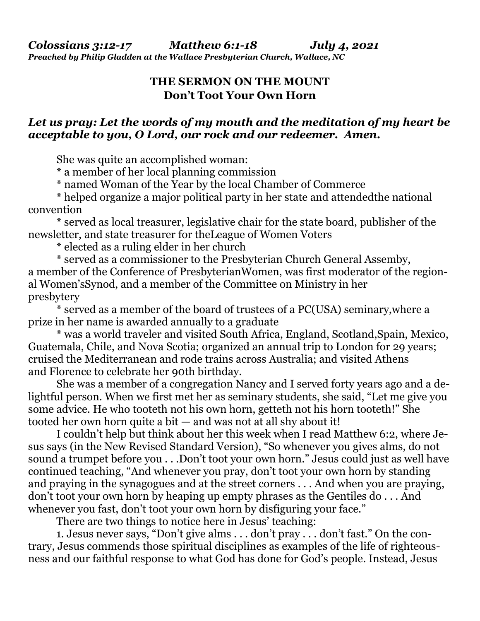## **THE SERMON ON THE MOUNT Don't Toot Your Own Horn**

## *Let us pray: Let the words of my mouth and the meditation of my heart be acceptable to you, O Lord, our rock and our redeemer. Amen.*

She was quite an accomplished woman:

\* a member of her local planning commission

\* named Woman of the Year by the local Chamber of Commerce

 \* helped organize a major political party in her state and attendedthe national convention

 \* served as local treasurer, legislative chair for the state board, publisher of the newsletter, and state treasurer for theLeague of Women Voters

\* elected as a ruling elder in her church

 \* served as a commissioner to the Presbyterian Church General Assemby, a member of the Conference of PresbyterianWomen, was first moderator of the regional Women'sSynod, and a member of the Committee on Ministry in her presbytery

 \* served as a member of the board of trustees of a PC(USA) seminary,where a prize in her name is awarded annually to a graduate

 \* was a world traveler and visited South Africa, England, Scotland,Spain, Mexico, Guatemala, Chile, and Nova Scotia; organized an annual trip to London for 29 years; cruised the Mediterranean and rode trains across Australia; and visited Athens and Florence to celebrate her 90th birthday.

 She was a member of a congregation Nancy and I served forty years ago and a delightful person. When we first met her as seminary students, she said, "Let me give you some advice. He who tooteth not his own horn, getteth not his horn tooteth!" She tooted her own horn quite a bit — and was not at all shy about it!

 I couldn't help but think about her this week when I read Matthew 6:2, where Jesus says (in the New Revised Standard Version), "So whenever you gives alms, do not sound a trumpet before you . . .Don't toot your own horn." Jesus could just as well have continued teaching, "And whenever you pray, don't toot your own horn by standing and praying in the synagogues and at the street corners . . . And when you are praying, don't toot your own horn by heaping up empty phrases as the Gentiles do . . . And whenever you fast, don't toot your own horn by disfiguring your face."

There are two things to notice here in Jesus' teaching:

 1. Jesus never says, "Don't give alms . . . don't pray . . . don't fast." On the contrary, Jesus commends those spiritual disciplines as examples of the life of righteousness and our faithful response to what God has done for God's people. Instead, Jesus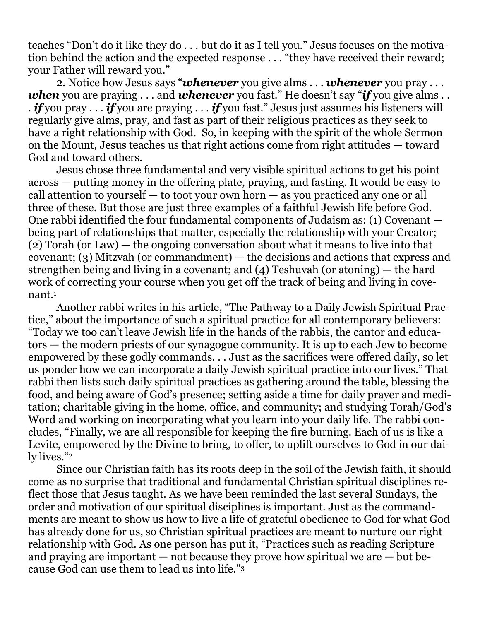teaches "Don't do it like they do . . . but do it as I tell you." Jesus focuses on the motivation behind the action and the expected response . . . "they have received their reward; your Father will reward you."

 2. Notice how Jesus says "*whenever* you give alms . . . *whenever* you pray . . . *when* you are praying . . . and *whenever* you fast." He doesn't say "*if* you give alms . . . *if* you pray . . . *if* you are praying . . . *if* you fast." Jesus just assumes his listeners will regularly give alms, pray, and fast as part of their religious practices as they seek to have a right relationship with God. So, in keeping with the spirit of the whole Sermon on the Mount, Jesus teaches us that right actions come from right attitudes — toward God and toward others.

 Jesus chose three fundamental and very visible spiritual actions to get his point across — putting money in the offering plate, praying, and fasting. It would be easy to call attention to yourself — to toot your own horn — as you practiced any one or all three of these. But those are just three examples of a faithful Jewish life before God. One rabbi identified the four fundamental components of Judaism as: (1) Covenant being part of relationships that matter, especially the relationship with your Creator; (2) Torah (or Law) — the ongoing conversation about what it means to live into that covenant; (3) Mitzvah (or commandment) — the decisions and actions that express and strengthen being and living in a covenant; and (4) Teshuvah (or atoning) — the hard work of correcting your course when you get off the track of being and living in covenant.<sup>1</sup>

 Another rabbi writes in his article, "The Pathway to a Daily Jewish Spiritual Practice," about the importance of such a spiritual practice for all contemporary believers: "Today we too can't leave Jewish life in the hands of the rabbis, the cantor and educators — the modern priests of our synagogue community. It is up to each Jew to become empowered by these godly commands. . . Just as the sacrifices were offered daily, so let us ponder how we can incorporate a daily Jewish spiritual practice into our lives." That rabbi then lists such daily spiritual practices as gathering around the table, blessing the food, and being aware of God's presence; setting aside a time for daily prayer and meditation; charitable giving in the home, office, and community; and studying Torah/God's Word and working on incorporating what you learn into your daily life. The rabbi concludes, "Finally, we are all responsible for keeping the fire burning. Each of us is like a Levite, empowered by the Divine to bring, to offer, to uplift ourselves to God in our daily lives."<sup>2</sup>

 Since our Christian faith has its roots deep in the soil of the Jewish faith, it should come as no surprise that traditional and fundamental Christian spiritual disciplines reflect those that Jesus taught. As we have been reminded the last several Sundays, the order and motivation of our spiritual disciplines is important. Just as the commandments are meant to show us how to live a life of grateful obedience to God for what God has already done for us, so Christian spiritual practices are meant to nurture our right relationship with God. As one person has put it, "Practices such as reading Scripture and praying are important  $-$  not because they prove how spiritual we are  $-$  but because God can use them to lead us into life."3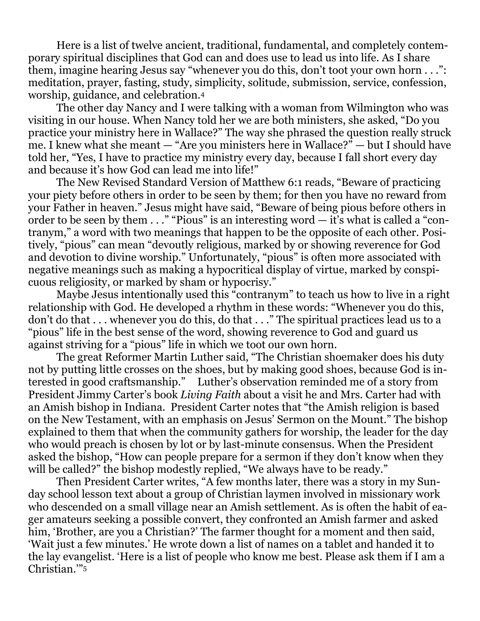Here is a list of twelve ancient, traditional, fundamental, and completely contemporary spiritual disciplines that God can and does use to lead us into life. As I share them, imagine hearing Jesus say "whenever you do this, don't toot your own horn . . .": meditation, prayer, fasting, study, simplicity, solitude, submission, service, confession, worship, guidance, and celebration.<sup>4</sup>

 The other day Nancy and I were talking with a woman from Wilmington who was visiting in our house. When Nancy told her we are both ministers, she asked, "Do you practice your ministry here in Wallace?" The way she phrased the question really struck me. I knew what she meant — "Are you ministers here in Wallace?" — but I should have told her, "Yes, I have to practice my ministry every day, because I fall short every day and because it's how God can lead me into life!"

 The New Revised Standard Version of Matthew 6:1 reads, "Beware of practicing your piety before others in order to be seen by them; for then you have no reward from your Father in heaven." Jesus might have said, "Beware of being pious before others in order to be seen by them  $\dots$  "Pious" is an interesting word  $-$  it's what is called a "contranym," a word with two meanings that happen to be the opposite of each other. Positively, "pious" can mean "devoutly religious, marked by or showing reverence for God and devotion to divine worship." Unfortunately, "pious" is often more associated with negative meanings such as making a hypocritical display of virtue, marked by conspicuous religiosity, or marked by sham or hypocrisy."

 Maybe Jesus intentionally used this "contranym" to teach us how to live in a right relationship with God. He developed a rhythm in these words: "Whenever you do this, don't do that . . . whenever you do this, do that . . ." The spiritual practices lead us to a "pious" life in the best sense of the word, showing reverence to God and guard us against striving for a "pious" life in which we toot our own horn.

 The great Reformer Martin Luther said, "The Christian shoemaker does his duty not by putting little crosses on the shoes, but by making good shoes, because God is interested in good craftsmanship." Luther's observation reminded me of a story from President Jimmy Carter's book *Living Faith* about a visit he and Mrs. Carter had with an Amish bishop in Indiana. President Carter notes that "the Amish religion is based on the New Testament, with an emphasis on Jesus' Sermon on the Mount." The bishop explained to them that when the community gathers for worship, the leader for the day who would preach is chosen by lot or by last-minute consensus. When the President asked the bishop, "How can people prepare for a sermon if they don't know when they will be called?" the bishop modestly replied, "We always have to be ready."

 Then President Carter writes, "A few months later, there was a story in my Sunday school lesson text about a group of Christian laymen involved in missionary work who descended on a small village near an Amish settlement. As is often the habit of eager amateurs seeking a possible convert, they confronted an Amish farmer and asked him, 'Brother, are you a Christian?' The farmer thought for a moment and then said, 'Wait just a few minutes.' He wrote down a list of names on a tablet and handed it to the lay evangelist. 'Here is a list of people who know me best. Please ask them if I am a Christian.'"5